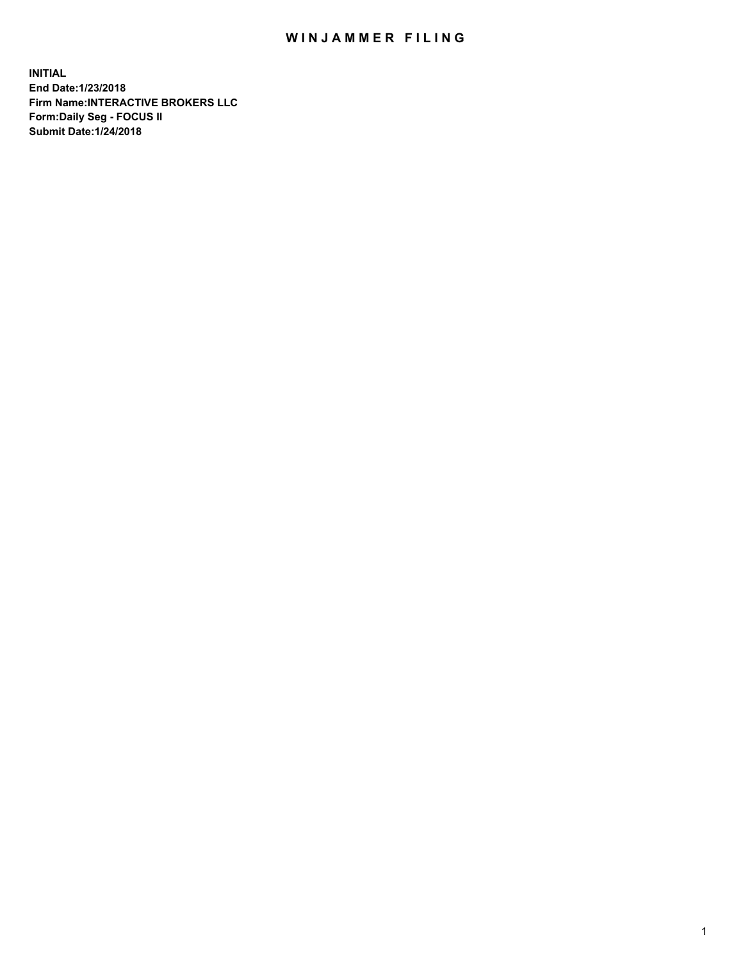## WIN JAMMER FILING

**INITIAL End Date:1/23/2018 Firm Name:INTERACTIVE BROKERS LLC Form:Daily Seg - FOCUS II Submit Date:1/24/2018**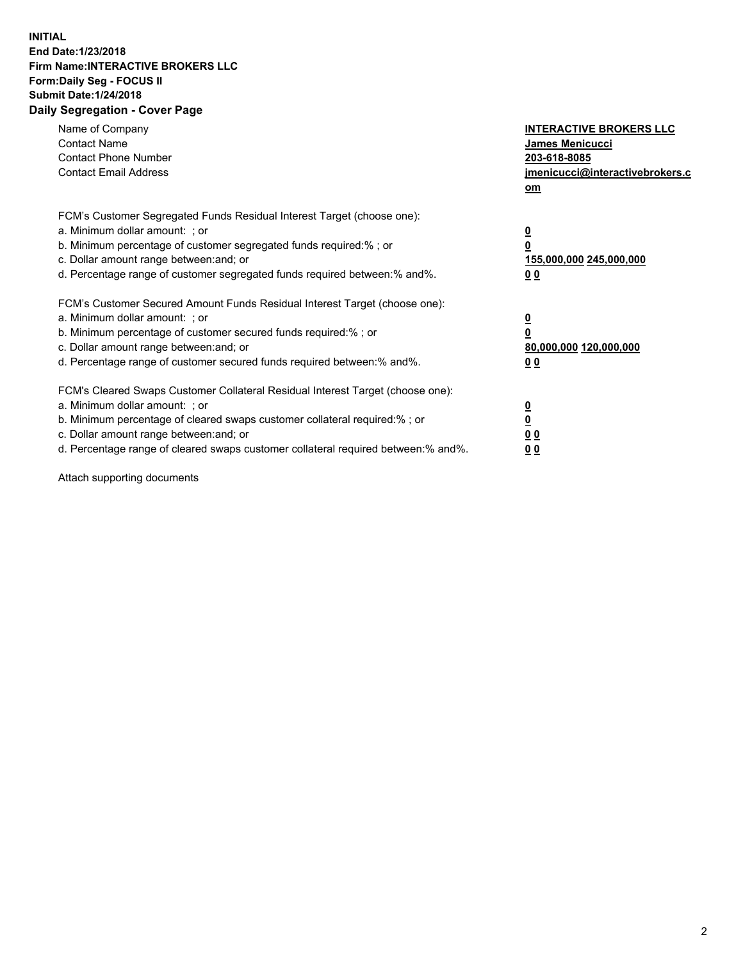## **INITIAL End Date:1/23/2018 Firm Name:INTERACTIVE BROKERS LLC Form:Daily Seg - FOCUS II Submit Date:1/24/2018 Daily Segregation - Cover Page**

| Name of Company<br><b>Contact Name</b><br><b>Contact Phone Number</b><br><b>Contact Email Address</b>                                                                                                                                                                                                                          | <b>INTERACTIVE BROKERS LLC</b><br>James Menicucci<br>203-618-8085<br>jmenicucci@interactivebrokers.c<br>om |
|--------------------------------------------------------------------------------------------------------------------------------------------------------------------------------------------------------------------------------------------------------------------------------------------------------------------------------|------------------------------------------------------------------------------------------------------------|
| FCM's Customer Segregated Funds Residual Interest Target (choose one):<br>a. Minimum dollar amount: ; or<br>b. Minimum percentage of customer segregated funds required:%; or<br>c. Dollar amount range between: and; or<br>d. Percentage range of customer segregated funds required between:% and%.                          | $\overline{\mathbf{0}}$<br>0<br>155,000,000 245,000,000<br>0 <sub>0</sub>                                  |
| FCM's Customer Secured Amount Funds Residual Interest Target (choose one):<br>a. Minimum dollar amount: ; or<br>b. Minimum percentage of customer secured funds required:%; or<br>c. Dollar amount range between: and; or<br>d. Percentage range of customer secured funds required between:% and%.                            | $\overline{\mathbf{0}}$<br>$\overline{\mathbf{0}}$<br>80,000,000 120,000,000<br>00                         |
| FCM's Cleared Swaps Customer Collateral Residual Interest Target (choose one):<br>a. Minimum dollar amount: ; or<br>b. Minimum percentage of cleared swaps customer collateral required:% ; or<br>c. Dollar amount range between: and; or<br>d. Percentage range of cleared swaps customer collateral required between:% and%. | $\overline{\mathbf{0}}$<br>$\overline{\mathbf{0}}$<br>0 <sub>0</sub><br><u>00</u>                          |

Attach supporting documents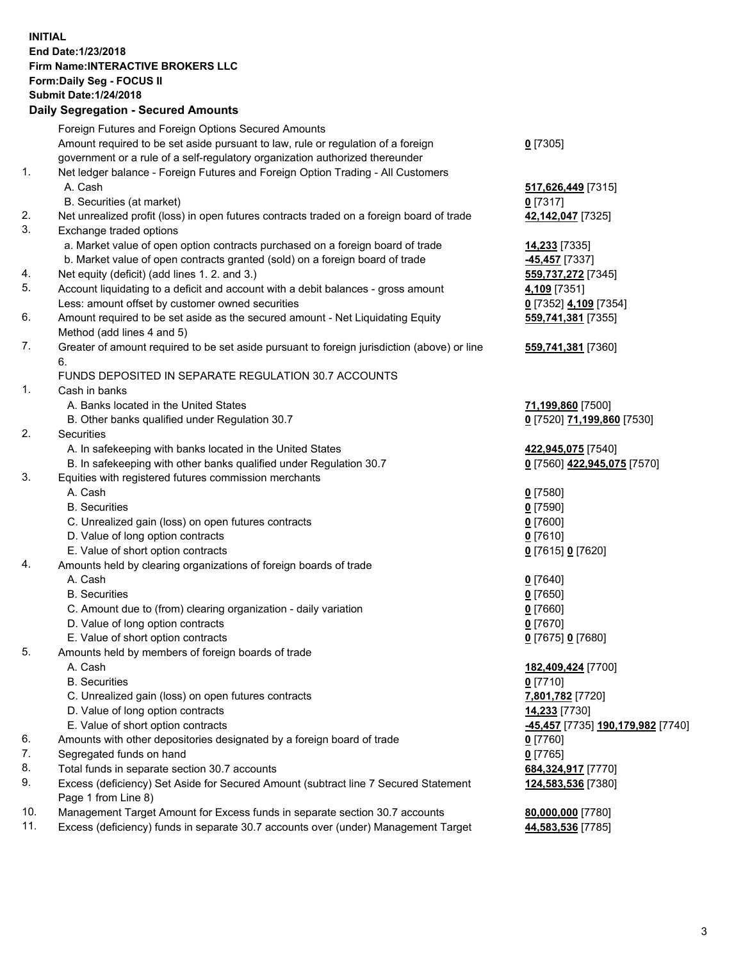## **INITIAL End Date:1/23/2018 Firm Name:INTERACTIVE BROKERS LLC Form:Daily Seg - FOCUS II Submit Date:1/24/2018 Daily Segregation - Secured Amounts**

|     | Daily Segregation - Secured Amounts                                                         |                                   |
|-----|---------------------------------------------------------------------------------------------|-----------------------------------|
|     | Foreign Futures and Foreign Options Secured Amounts                                         |                                   |
|     | Amount required to be set aside pursuant to law, rule or regulation of a foreign            | $0$ [7305]                        |
|     | government or a rule of a self-regulatory organization authorized thereunder                |                                   |
| 1.  | Net ledger balance - Foreign Futures and Foreign Option Trading - All Customers             |                                   |
|     | A. Cash                                                                                     | 517,626,449 [7315]                |
|     | B. Securities (at market)                                                                   | $0$ [7317]                        |
| 2.  | Net unrealized profit (loss) in open futures contracts traded on a foreign board of trade   | 42,142,047 [7325]                 |
| 3.  | Exchange traded options                                                                     |                                   |
|     | a. Market value of open option contracts purchased on a foreign board of trade              | <b>14,233</b> [7335]              |
|     | b. Market value of open contracts granted (sold) on a foreign board of trade                | -45,457 [7337]                    |
| 4.  | Net equity (deficit) (add lines 1.2. and 3.)                                                | 559,737,272 [7345]                |
| 5.  | Account liquidating to a deficit and account with a debit balances - gross amount           | 4,109 [7351]                      |
|     | Less: amount offset by customer owned securities                                            | 0 [7352] 4,109 [7354]             |
| 6.  | Amount required to be set aside as the secured amount - Net Liquidating Equity              | 559,741,381 [7355]                |
|     | Method (add lines 4 and 5)                                                                  |                                   |
| 7.  | Greater of amount required to be set aside pursuant to foreign jurisdiction (above) or line | 559,741,381 [7360]                |
|     | 6.                                                                                          |                                   |
|     | FUNDS DEPOSITED IN SEPARATE REGULATION 30.7 ACCOUNTS                                        |                                   |
| 1.  | Cash in banks                                                                               |                                   |
|     | A. Banks located in the United States                                                       | 71,199,860 [7500]                 |
|     | B. Other banks qualified under Regulation 30.7                                              | 0 [7520] 71,199,860 [7530]        |
| 2.  | Securities                                                                                  |                                   |
|     | A. In safekeeping with banks located in the United States                                   | 422,945,075 [7540]                |
|     | B. In safekeeping with other banks qualified under Regulation 30.7                          | 0 [7560] 422,945,075 [7570]       |
| 3.  | Equities with registered futures commission merchants                                       |                                   |
|     | A. Cash                                                                                     | $0$ [7580]                        |
|     | <b>B.</b> Securities                                                                        | $0$ [7590]                        |
|     | C. Unrealized gain (loss) on open futures contracts                                         | $0$ [7600]                        |
|     | D. Value of long option contracts                                                           | $0$ [7610]                        |
|     | E. Value of short option contracts                                                          | 0 [7615] 0 [7620]                 |
| 4.  | Amounts held by clearing organizations of foreign boards of trade                           |                                   |
|     | A. Cash                                                                                     | $0$ [7640]                        |
|     | <b>B.</b> Securities                                                                        | $0$ [7650]                        |
|     | C. Amount due to (from) clearing organization - daily variation                             | $0$ [7660]                        |
|     | D. Value of long option contracts                                                           | $0$ [7670]                        |
|     | E. Value of short option contracts                                                          | 0 [7675] 0 [7680]                 |
| 5.  | Amounts held by members of foreign boards of trade                                          |                                   |
|     | A. Cash                                                                                     | 182,409,424 [7700]                |
|     | <b>B.</b> Securities                                                                        | $0$ [7710]                        |
|     | C. Unrealized gain (loss) on open futures contracts                                         | 7,801,782 [7720]                  |
|     | D. Value of long option contracts                                                           | 14,233 [7730]                     |
|     | E. Value of short option contracts                                                          | -45,457 [7735] 190,179,982 [7740] |
| 6.  | Amounts with other depositories designated by a foreign board of trade                      | 0 [7760]                          |
| 7.  | Segregated funds on hand                                                                    | $0$ [7765]                        |
| 8.  | Total funds in separate section 30.7 accounts                                               | 684,324,917 [7770]                |
| 9.  | Excess (deficiency) Set Aside for Secured Amount (subtract line 7 Secured Statement         | 124,583,536 [7380]                |
|     | Page 1 from Line 8)                                                                         |                                   |
| 10. | Management Target Amount for Excess funds in separate section 30.7 accounts                 | 80,000,000 [7780]                 |
| 11. | Excess (deficiency) funds in separate 30.7 accounts over (under) Management Target          | 44,583,536 [7785]                 |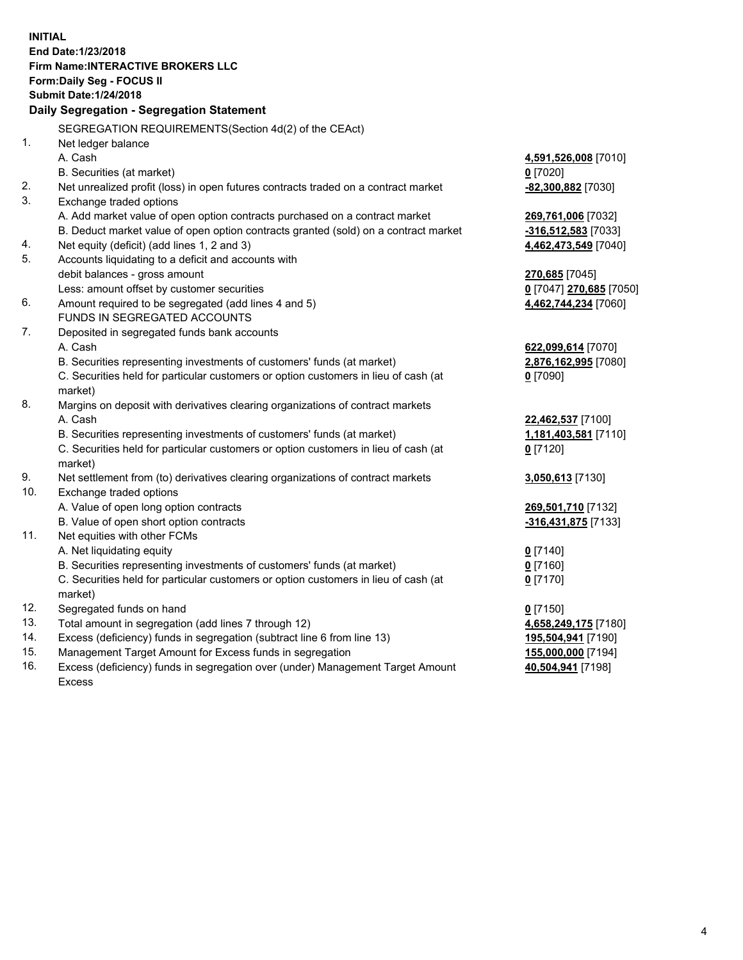**INITIAL End Date:1/23/2018 Firm Name:INTERACTIVE BROKERS LLC Form:Daily Seg - FOCUS II Submit Date:1/24/2018 Daily Segregation - Segregation Statement** SEGREGATION REQUIREMENTS(Section 4d(2) of the CEAct) 1. Net ledger balance A. Cash **4,591,526,008** [7010] B. Securities (at market) **0** [7020] 2. Net unrealized profit (loss) in open futures contracts traded on a contract market **-82,300,882** [7030] 3. Exchange traded options A. Add market value of open option contracts purchased on a contract market **269,761,006** [7032] B. Deduct market value of open option contracts granted (sold) on a contract market **-316,512,583** [7033] 4. Net equity (deficit) (add lines 1, 2 and 3) **4,462,473,549** [7040] 5. Accounts liquidating to a deficit and accounts with debit balances - gross amount **270,685** [7045] Less: amount offset by customer securities **0** [7047] **270,685** [7050] 6. Amount required to be segregated (add lines 4 and 5) **4,462,744,234** [7060] FUNDS IN SEGREGATED ACCOUNTS 7. Deposited in segregated funds bank accounts A. Cash **622,099,614** [7070] B. Securities representing investments of customers' funds (at market) **2,876,162,995** [7080] C. Securities held for particular customers or option customers in lieu of cash (at market) **0** [7090] 8. Margins on deposit with derivatives clearing organizations of contract markets A. Cash **22,462,537** [7100] B. Securities representing investments of customers' funds (at market) **1,181,403,581** [7110] C. Securities held for particular customers or option customers in lieu of cash (at market) **0** [7120] 9. Net settlement from (to) derivatives clearing organizations of contract markets **3,050,613** [7130] 10. Exchange traded options A. Value of open long option contracts **269,501,710** [7132] B. Value of open short option contracts **-316,431,875** [7133] 11. Net equities with other FCMs A. Net liquidating equity **0** [7140] B. Securities representing investments of customers' funds (at market) **0** [7160] C. Securities held for particular customers or option customers in lieu of cash (at market) **0** [7170] 12. Segregated funds on hand **0** [7150] 13. Total amount in segregation (add lines 7 through 12) **4,658,249,175** [7180] 14. Excess (deficiency) funds in segregation (subtract line 6 from line 13) **195,504,941** [7190] 15. Management Target Amount for Excess funds in segregation **155,000,000** [7194]

16. Excess (deficiency) funds in segregation over (under) Management Target Amount Excess

**40,504,941** [7198]